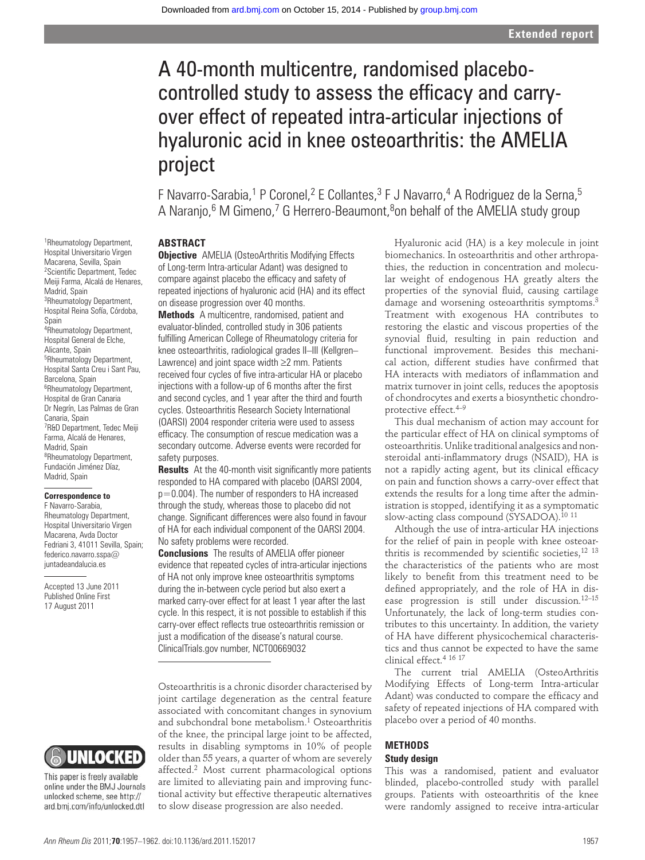# A 40-month multicentre, randomised placebocontrolled study to assess the efficacy and carryover effect of repeated intra-articular injections of hyaluronic acid in knee osteoarthritis: the AMELIA project

F Navarro-Sarabia,<sup>1</sup> P Coronel,<sup>2</sup> E Collantes,<sup>3</sup> F J Navarro,<sup>4</sup> A Rodriguez de la Serna,<sup>5</sup> A Naranjo,<sup>6</sup> M Gimeno,<sup>7</sup> G Herrero-Beaumont,<sup>8</sup>on behalf of the AMELIA study group

### **ABSTRACT**

 **Objective** AMELIA (OsteoArthritis Modifying Effects of Long-term Intra-articular Adant) was designed to compare against placebo the efficacy and safety of repeated injections of hyaluronic acid (HA) and its effect on disease progression over 40 months.

 **Methods** A multicentre, randomised, patient and evaluator-blinded, controlled study in 306 patients fulfilling American College of Rheumatology criteria for knee osteoarthritis, radiological grades II–III (Kellgren– Lawrence) and joint space width ≥2 mm. Patients received four cycles of five intra-articular HA or placebo injections with a follow-up of 6 months after the first and second cycles, and 1 year after the third and fourth cycles. Osteoarthritis Research Society International (OARSI) 2004 responder criteria were used to assess efficacy. The consumption of rescue medication was a secondary outcome. Adverse events were recorded for safety purposes.

**Results** At the 40-month visit significantly more patients responded to HA compared with placebo (OARSI 2004, p=0.004). The number of responders to HA increased through the study, whereas those to placebo did not change. Significant differences were also found in favour of HA for each individual component of the OARSI 2004. No safety problems were recorded.

 **Conclusions** The results of AMELIA offer pioneer evidence that repeated cycles of intra-articular injections of HA not only improve knee osteoarthritis symptoms during the in-between cycle period but also exert a marked carry-over effect for at least 1 year after the last cycle. In this respect, it is not possible to establish if this carry-over effect reflects true osteoarthritis remission or just a modification of the disease's natural course. ClinicalTrials.gov number, NCT00669032

Osteoarthritis is a chronic disorder characterised by joint cartilage degeneration as the central feature associated with concomitant changes in synovium and subchondral bone metabolism.<sup>1</sup> Osteoarthritis of the knee, the principal large joint to be affected, results in disabling symptoms in 10% of people older than 55 years, a quarter of whom are severely affected.<sup>2</sup> Most current pharmacological options are limited to alleviating pain and improving functional activity but effective therapeutic alternatives to slow disease progression are also needed.

Hyaluronic acid (HA) is a key molecule in joint biomechanics. In osteoarthritis and other arthropathies, the reduction in concentration and molecular weight of endogenous HA greatly alters the properties of the synovial fluid, causing cartilage damage and worsening osteoarthritis symptoms. 3 Treatment with exogenous HA contributes to restoring the elastic and viscous properties of the synovial fluid, resulting in pain reduction and functional improvement. Besides this mechanical action, different studies have confirmed that HA interacts with mediators of inflammation and matrix turnover in joint cells, reduces the apoptosis of chondrocytes and exerts a biosynthetic chondroprotective effect.<sup>4-9</sup>

This dual mechanism of action may account for the particular effect of HA on clinical symptoms of osteoarthritis. Unlike traditional analgesics and nonsteroidal anti-inflammatory drugs (NSAID), HA is not a rapidly acting agent, but its clinical efficacy on pain and function shows a carry-over effect that extends the results for a long time after the administration is stopped, identifying it as a symptomatic slow-acting class compound (SYSADOA).<sup>10 11</sup>

Although the use of intra-articular HA injections for the relief of pain in people with knee osteoarthritis is recommended by scientific societies,  $12$   $13$ the characteristics of the patients who are most likely to benefit from this treatment need to be defined appropriately, and the role of HA in disease progression is still under discussion.<sup>12-15</sup> Unfortunately, the lack of long-term studies contributes to this uncertainty. In addition, the variety of HA have different physicochemical characteristics and thus cannot be expected to have the same clinical effect.<sup>4 16 17</sup>

The current trial AMELIA (OsteoArthritis Modifying Effects of Long-term Intra-articular Adant) was conducted to compare the efficacy and safety of repeated injections of HA compared with placebo over a period of 40 months.

### **METHODS**

### **Study design**

This was a randomised, patient and evaluator blinded, placebo-controlled study with parallel groups. Patients with osteoarthritis of the knee were randomly assigned to receive intra-articular

1 Rheumatology Department, Hospital Universitario Virgen Macarena, Sevilla, Spain <sup>2</sup>Scientific Department, Tedec Meiji Farma, Alcalá de Henares, Madrid, Spain <sup>3</sup>Rheumatology Department, Hospital Reina Sofía, Córdoba, Spain 4 Rheumatology Department, Hospital General de Elche, Alicante, Spain 5 Rheumatology Department, Hospital Santa Creu i Sant Pau, Barcelona, Spain <sup>6</sup>Rheumatology Department, Hospital de Gran Canaria Dr Negrín, Las Palmas de Gran Canaria, Spain 7 R&D Department, Tedec Meiji Farma, Alcalá de Henares, Madrid, Spain <sup>8</sup>Rheumatology Department, Fundación Jiménez Díaz, Madrid, Spain

### **Correspondence to**

 F Navarro-Sarabia, Rheumatology Department, Hospital Universitario Virgen Macarena, Avda Doctor Fedriani 3, 41011 Sevilla, Spain; federico.navarro.sspa@ juntadeandalucia.es

Accepted 13 June 2011 Published Online First 17 August 2011



This paper is freely available online under the BMJ Journals unlocked scheme, see http:// ard.bmj.com/info/unlocked.dtl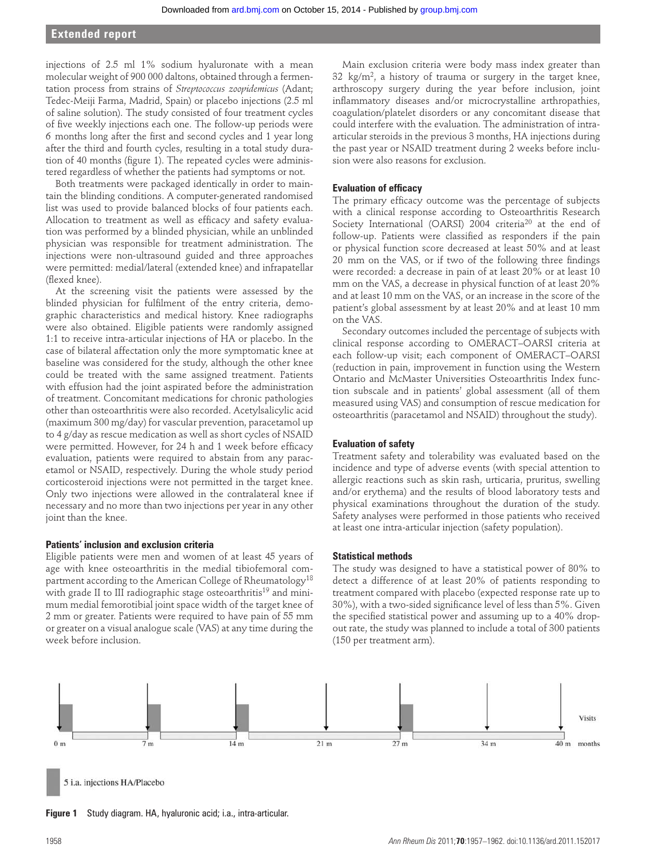### **Extended report**

injections of 2.5 ml 1% sodium hyaluronate with a mean molecular weight of 900 000 daltons, obtained through a fermentation process from strains of *Streptococcus zoopidemicus* (Adant; Tedec-Meiji Farma, Madrid, Spain) or placebo injections (2.5 ml of saline solution). The study consisted of four treatment cycles of five weekly injections each one. The follow-up periods were 6 months long after the first and second cycles and 1 year long after the third and fourth cycles, resulting in a total study duration of 40 months (figure 1). The repeated cycles were administered regardless of whether the patients had symptoms or not.

Both treatments were packaged identically in order to maintain the blinding conditions. A computer-generated randomised list was used to provide balanced blocks of four patients each. Allocation to treatment as well as efficacy and safety evaluation was performed by a blinded physician, while an unblinded physician was responsible for treatment administration. The injections were non-ultrasound guided and three approaches were permitted: medial/lateral (extended knee) and infrapatellar (flexed knee).

At the screening visit the patients were assessed by the blinded physician for fulfilment of the entry criteria, demographic characteristics and medical history. Knee radiographs were also obtained. Eligible patients were randomly assigned 1:1 to receive intra-articular injections of HA or placebo. In the case of bilateral affectation only the more symptomatic knee at baseline was considered for the study, although the other knee could be treated with the same assigned treatment. Patients with effusion had the joint aspirated before the administration of treatment. Concomitant medications for chronic pathologies other than osteoarthritis were also recorded. Acetylsalicylic acid (maximum 300 mg/day) for vascular prevention, paracetamol up to 4 g/day as rescue medication as well as short cycles of NSAID were permitted. However, for 24 h and 1 week before efficacy evaluation, patients were required to abstain from any paracetamol or NSAID, respectively. During the whole study period corticosteroid injections were not permitted in the target knee. Only two injections were allowed in the contralateral knee if necessary and no more than two injections per year in any other joint than the knee.

### **Patients' inclusion and exclusion criteria**

Eligible patients were men and women of at least 45 years of age with knee osteoarthritis in the medial tibiofemoral compartment according to the American College of Rheumatology<sup>18</sup> with grade II to III radiographic stage osteoarthritis<sup>19</sup> and minimum medial femorotibial joint space width of the target knee of 2 mm or greater. Patients were required to have pain of 55 mm or greater on a visual analogue scale (VAS) at any time during the week before inclusion.

Main exclusion criteria were body mass index greater than  $32 \text{ kg/m}^2$ , a history of trauma or surgery in the target knee, arthroscopy surgery during the year before inclusion, joint inflammatory diseases and/or microcrystalline arthropathies, coagulation/platelet disorders or any concomitant disease that could interfere with the evaluation. The administration of intraarticular steroids in the previous 3 months, HA injections during the past year or NSAID treatment during 2 weeks before inclusion were also reasons for exclusion.

### **Evaluation of efficacy**

The primary efficacy outcome was the percentage of subjects with a clinical response according to Osteoarthritis Research Society International (OARSI) 2004 criteria<sup>20</sup> at the end of follow-up. Patients were classified as responders if the pain or physical function score decreased at least 50% and at least 20 mm on the VAS, or if two of the following three findings were recorded: a decrease in pain of at least 20% or at least 10 mm on the VAS, a decrease in physical function of at least 20% and at least 10 mm on the VAS, or an increase in the score of the patient's global assessment by at least 20% and at least 10 mm on the VAS.

Secondary outcomes included the percentage of subjects with clinical response according to OMERACT–OARSI criteria at each follow-up visit; each component of OMERACT–OARSI (reduction in pain, improvement in function using the Western Ontario and McMaster Universities Osteoarthritis Index function subscale and in patients' global assessment (all of them measured using VAS) and consumption of rescue medication for osteoarthritis (paracetamol and NSAID) throughout the study).

### **Evaluation of safety**

Treatment safety and tolerability was evaluated based on the incidence and type of adverse events (with special attention to allergic reactions such as skin rash, urticaria, pruritus, swelling and/or erythema) and the results of blood laboratory tests and physical examinations throughout the duration of the study. Safety analyses were performed in those patients who received at least one intra-articular injection (safety population).

### **Statistical methods**

The study was designed to have a statistical power of 80% to detect a difference of at least 20% of patients responding to treatment compared with placebo (expected response rate up to  $30\%$ ), with a two-sided significance level of less than  $5\%$ . Given the specified statistical power and assuming up to a  $40\%$  dropout rate, the study was planned to include a total of 300 patients (150 per treatment arm).



5 i.a. injections HA/Placebo

 **Figure 1** Study diagram. HA, hyaluronic acid; i.a., intra-articular.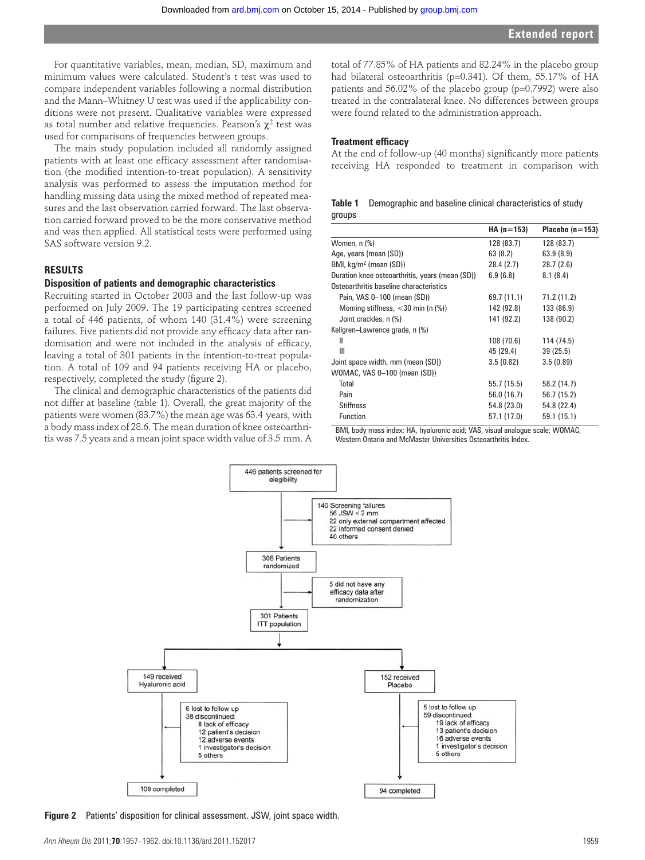For quantitative variables, mean, median, SD, maximum and minimum values were calculated. Student's t test was used to compare independent variables following a normal distribution and the Mann–Whitney U test was used if the applicability conditions were not present. Qualitative variables were expressed as total number and relative frequencies. Pearson's  $\chi^2$  test was used for comparisons of frequencies between groups.

The main study population included all randomly assigned patients with at least one efficacy assessment after randomisation (the modified intention-to-treat population). A sensitivity analysis was performed to assess the imputation method for handling missing data using the mixed method of repeated measures and the last observation carried forward. The last observation carried forward proved to be the more conservative method and was then applied. All statistical tests were performed using SAS software version 9.2.

### **RESULTS**

#### **Disposition of patients and demographic characteristics**

Recruiting started in October 2003 and the last follow-up was performed on July 2009. The 19 participating centres screened a total of 446 patients, of whom 140 (31.4%) were screening failures. Five patients did not provide any efficacy data after randomisation and were not included in the analysis of efficacy, leaving a total of 301 patients in the intention-to-treat population. A total of 109 and 94 patients receiving HA or placebo, respectively, completed the study (figure 2).

The clinical and demographic characteristics of the patients did not differ at baseline (table 1). Overall, the great majority of the patients were women (83.7%) the mean age was 63.4 years, with a body mass index of 28.6. The mean duration of knee osteoarthritis was 7.5 years and a mean joint space width value of 3.5 mm. A total of 77.85% of HA patients and 82.24% in the placebo group had bilateral osteoarthritis (p=0.341). Of them, 55.17% of HA patients and 56.02% of the placebo group (p=0.7992) were also treated in the contralateral knee. No differences between groups were found related to the administration approach.

### **Treatment efficacy**

At the end of follow-up (40 months) significantly more patients receiving HA responded to treatment in comparison with

|        | <b>Table 1</b> Demographic and baseline clinical characteristics of study |
|--------|---------------------------------------------------------------------------|
| groups |                                                                           |

|                                                   | $HA (n=153)$ | Placebo $(n=153)$ |
|---------------------------------------------------|--------------|-------------------|
| Women, n (%)                                      | 128 (83.7)   | 128 (83.7)        |
| Age, years (mean (SD))                            | 63(8.2)      | 63.9(8.9)         |
| BMI, $kq/m^2$ (mean (SD))                         | 28.4(2.7)    | 28.7(2.6)         |
| Duration knee osteoarthritis, years (mean (SD))   | 6.9(6.8)     | 8.1(8.4)          |
| Osteoarthritis baseline characteristics           |              |                   |
| Pain, VAS 0-100 (mean (SD))                       | 69.7 (11.1)  | 71.2 (11.2)       |
| Morning stiffness, $<$ 30 min (n $\binom{9}{0}$ ) | 142 (92.8)   | 133 (86.9)        |
| Joint crackles, n (%)                             | 141 (92.2)   | 138 (90.2)        |
| Kellgren-Lawrence grade, n (%)                    |              |                   |
| Ш                                                 | 108 (70.6)   | 114 (74.5)        |
| Ш                                                 | 45 (29.4)    | 39(25.5)          |
| Joint space width, mm (mean (SD))                 | 3.5(0.82)    | 3.5(0.89)         |
| WOMAC, VAS 0-100 (mean (SD))                      |              |                   |
| Total                                             | 55.7 (15.5)  | 58.2 (14.7)       |
| Pain                                              | 56.0 (16.7)  | 56.7 (15.2)       |
| <b>Stiffness</b>                                  | 54.8 (23.0)  | 54.8 (22.4)       |
| <b>Function</b>                                   | 57.1 (17.0)  | 59.1 (15.1)       |

 BMI, body mass index; HA, hyaluronic acid; VAS, visual analogue scale; WOMAC, Western Ontario and McMaster Universities Osteoarthritis Index.



 **Figure 2** Patients' disposition for clinical assessment. JSW, joint space width.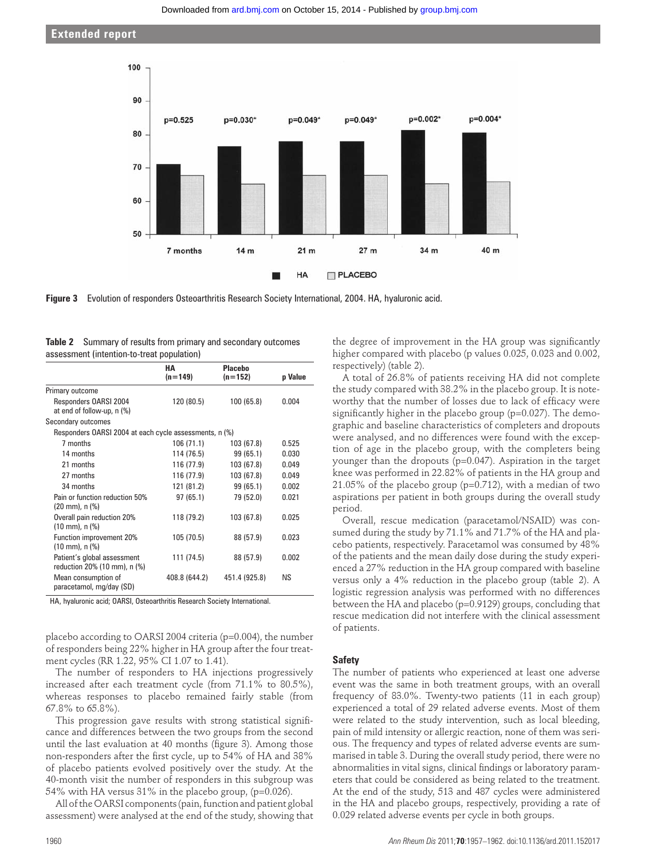Downloaded from [ard.bmj.com](http://ard.bmj.com/) on October 15, 2014 - Published by [group.bmj.com](http://group.bmj.com/)



 **Figure 3** Evolution of responders Osteoarthritis Research Society International, 2004. HA, hyaluronic acid.

| <b>Table 2</b> Summary of results from primary and secondary outcomes |
|-----------------------------------------------------------------------|
| assessment (intention-to-treat population)                            |

|                                                             | НA<br>$(n=149)$ | <b>Placebo</b><br>$(n=152)$ | p Value   |
|-------------------------------------------------------------|-----------------|-----------------------------|-----------|
| Primary outcome                                             |                 |                             |           |
| Responders OARSI 2004<br>at end of follow-up, n (%)         | 120 (80.5)      | 100 (65.8)                  | 0.004     |
| Secondary outcomes                                          |                 |                             |           |
| Responders OARSI 2004 at each cycle assessments, n (%)      |                 |                             |           |
| 7 months                                                    | 106(71.1)       | 103 (67.8)                  | 0.525     |
| 14 months                                                   | 114 (76.5)      | 99 (65.1)                   | 0.030     |
| 21 months                                                   | 116 (77.9)      | 103 (67.8)                  | 0.049     |
| 27 months                                                   | 116 (77.9)      | 103 (67.8)                  | 0.049     |
| 34 months                                                   | 121 (81.2)      | 99 (65.1)                   | 0.002     |
| Pain or function reduction 50%<br>(20 mm), n (%)            | 97(65.1)        | 79 (52.0)                   | 0.021     |
| Overall pain reduction 20%<br>$(10 \text{ mm})$ , n $(\%)$  | 118 (79.2)      | 103 (67.8)                  | 0.025     |
| Function improvement 20%<br>$(10 \text{ mm})$ , n $(\%)$    | 105(70.5)       | 88 (57.9)                   | 0.023     |
| Patient's global assessment<br>reduction 20% (10 mm), n (%) | 111 (74.5)      | 88 (57.9)                   | 0.002     |
| Mean consumption of<br>paracetamol, mg/day (SD)             | 408.8 (644.2)   | 451.4 (925.8)               | <b>NS</b> |

HA, hyaluronic acid; OARSI, Osteoarthritis Research Society International.

placebo according to OARSI 2004 criteria (p=0.004), the number of responders being 22% higher in HA group after the four treatment cycles (RR 1.22, 95% CI 1.07 to 1.41).

The number of responders to HA injections progressively increased after each treatment cycle (from 71.1% to 80.5%), whereas responses to placebo remained fairly stable (from 67.8% to 65.8%).

This progression gave results with strong statistical significance and differences between the two groups from the second until the last evaluation at 40 months (figure 3). Among those non-responders after the first cycle, up to 54% of HA and 38% of placebo patients evolved positively over the study. At the 40-month visit the number of responders in this subgroup was 54% with HA versus 31% in the placebo group, (p=0.026).

All of the OARSI components (pain, function and patient global assessment) were analysed at the end of the study, showing that

the degree of improvement in the HA group was significantly higher compared with placebo (p values 0.025, 0.023 and 0.002, respectively) (table 2).

A total of 26.8% of patients receiving HA did not complete the study compared with 38.2% in the placebo group. It is noteworthy that the number of losses due to lack of efficacy were significantly higher in the placebo group (p=0.027). The demographic and baseline characteristics of completers and dropouts were analysed, and no differences were found with the exception of age in the placebo group, with the completers being younger than the dropouts (p=0.047). Aspiration in the target knee was performed in 22.82% of patients in the HA group and 21.05% of the placebo group (p=0.712), with a median of two aspirations per patient in both groups during the overall study period.

Overall, rescue medication (paracetamol/NSAID) was consumed during the study by 71.1% and 71.7% of the HA and placebo patients, respectively. Paracetamol was consumed by 48% of the patients and the mean daily dose during the study experienced a 27% reduction in the HA group compared with baseline versus only a 4% reduction in the placebo group (table 2). A logistic regression analysis was performed with no differences between the HA and placebo (p=0.9129) groups, concluding that rescue medication did not interfere with the clinical assessment of patients.

### **Safety**

The number of patients who experienced at least one adverse event was the same in both treatment groups, with an overall frequency of 83.0%. Twenty-two patients (11 in each group) experienced a total of 29 related adverse events. Most of them were related to the study intervention, such as local bleeding, pain of mild intensity or allergic reaction, none of them was serious. The frequency and types of related adverse events are summarised in table 3. During the overall study period, there were no abnormalities in vital signs, clinical findings or laboratory parameters that could be considered as being related to the treatment. At the end of the study, 513 and 487 cycles were administered in the HA and placebo groups, respectively, providing a rate of 0.029 related adverse events per cycle in both groups.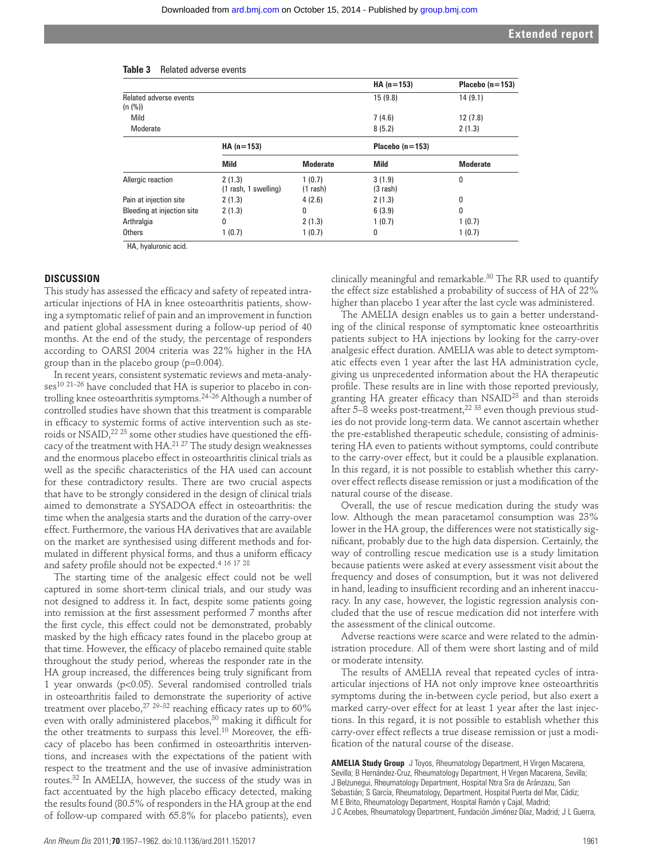|                                   |                                |                      | $HA (n=153)$         | Placebo $(n=153)$ |
|-----------------------------------|--------------------------------|----------------------|----------------------|-------------------|
| Related adverse events<br>(n (%)) |                                |                      | 15(9.8)              | 14(9.1)           |
| Mild                              |                                |                      | 7(4.6)               | 12(7.8)           |
| Moderate                          |                                | 8(5.2)               | 2(1.3)               |                   |
|                                   | $HA (n=153)$                   |                      | Placebo $(n=153)$    |                   |
|                                   | <b>Mild</b>                    | <b>Moderate</b>      | Mild                 | <b>Moderate</b>   |
| Allergic reaction                 | 2(1.3)<br>(1 rash, 1 swelling) | 1(0.7)<br>$(1$ rash) | 3(1.9)<br>$(3$ rash) | 0                 |
| Pain at injection site            | 2(1.3)                         | 4(2.6)               | 2(1.3)               | 0                 |
| Bleeding at injection site        | 2(1.3)                         | 0                    | 6(3.9)               | 0                 |
| Arthralgia                        | 0                              | 2(1.3)               | 1(0.7)               | 1(0.7)            |
| Others                            | 1(0.7)                         | 1(0.7)               | 0                    | 1(0.7)            |

#### **Table 3** Related adverse events

HA, hyaluronic acid.

### **DISCUSSION**

This study has assessed the efficacy and safety of repeated intraarticular injections of HA in knee osteoarthritis patients, showing a symptomatic relief of pain and an improvement in function and patient global assessment during a follow-up period of 40 months. At the end of the study, the percentage of responders according to OARSI 2004 criteria was 22% higher in the HA group than in the placebo group (p=0.004).

In recent years, consistent systematic reviews and meta-analy- $\mathrm{ses}^{10\,\,21\mathrm{-}26}$  have concluded that HA is superior to placebo in controlling knee osteoarthritis symptoms. $24-26$  Although a number of controlled studies have shown that this treatment is comparable in efficacy to systemic forms of active intervention such as steroids or NSAID, $^{22\ 23}$  some other studies have questioned the efficacy of the treatment with HA.<sup>21 27</sup> The study design weaknesses and the enormous placebo effect in osteoarthritis clinical trials as well as the specific characteristics of the HA used can account for these contradictory results. There are two crucial aspects that have to be strongly considered in the design of clinical trials aimed to demonstrate a SYSADOA effect in osteoarthritis: the time when the analgesia starts and the duration of the carry-over effect. Furthermore, the various HA derivatives that are available on the market are synthesised using different methods and formulated in different physical forms, and thus a uniform efficacy and safety profile should not be expected. $4\,16\,17\,28$ 

The starting time of the analgesic effect could not be well captured in some short-term clinical trials, and our study was not designed to address it. In fact, despite some patients going into remission at the first assessment performed 7 months after the first cycle, this effect could not be demonstrated, probably masked by the high efficacy rates found in the placebo group at that time. However, the efficacy of placebo remained quite stable throughout the study period, whereas the responder rate in the HA group increased, the differences being truly significant from 1 year onwards (p<0.05). Several randomised controlled trials in osteoarthritis failed to demonstrate the superiority of active treatment over placebo, $^{27}$   $^{29-32}$  reaching efficacy rates up to  $60\%$ even with orally administered placebos,<sup>30</sup> making it difficult for the other treatments to surpass this level.<sup>10</sup> Moreover, the efficacy of placebo has been confirmed in osteoarthritis interventions, and increases with the expectations of the patient with respect to the treatment and the use of invasive administration routes. 32 In AMELIA, however, the success of the study was in fact accentuated by the high placebo efficacy detected, making the results found (80.5% of responders in the HA group at the end of follow-up compared with 65.8% for placebo patients), even

clinically meaningful and remarkable. 30 The RR used to quantify the effect size established a probability of success of HA of 22% higher than placebo 1 year after the last cycle was administered.

The AMELIA design enables us to gain a better understanding of the clinical response of symptomatic knee osteoarthritis patients subject to HA injections by looking for the carry-over analgesic effect duration. AMELIA was able to detect symptomatic effects even 1 year after the last HA administration cycle, giving us unprecedented information about the HA therapeutic profile. These results are in line with those reported previously, granting HA greater efficacy than  $NSAID<sup>23</sup>$  and than steroids after 5–8 weeks post-treatment,<sup>22 33</sup> even though previous studies do not provide long-term data. We cannot ascertain whether the pre-established therapeutic schedule, consisting of administering HA even to patients without symptoms, could contribute to the carry-over effect, but it could be a plausible explanation. In this regard, it is not possible to establish whether this carryover effect reflects disease remission or just a modification of the natural course of the disease.

Overall, the use of rescue medication during the study was low. Although the mean paracetamol consumption was 23% lower in the HA group, the differences were not statistically significant, probably due to the high data dispersion. Certainly, the way of controlling rescue medication use is a study limitation because patients were asked at every assessment visit about the frequency and doses of consumption, but it was not delivered in hand, leading to insufficient recording and an inherent inaccuracy. In any case, however, the logistic regression analysis concluded that the use of rescue medication did not interfere with the assessment of the clinical outcome.

Adverse reactions were scarce and were related to the administration procedure. All of them were short lasting and of mild or moderate intensity.

The results of AMELIA reveal that repeated cycles of intraarticular injections of HA not only improve knee osteoarthritis symptoms during the in-between cycle period, but also exert a marked carry-over effect for at least 1 year after the last injections. In this regard, it is not possible to establish whether this carry-over effect reflects a true disease remission or just a modification of the natural course of the disease.

 **AMELIA Study Group** J Toyos, Rheumatology Department, H Virgen Macarena, Sevilla; B Hernández-Cruz, Rheumatology Department, H Virgen Macarena, Sevilla; J Belzunegui, Rheumatology Department, Hospital Ntra Sra de Aránzazu, San Sebastián; S García, Rheumatology, Department, Hospital Puerta del Mar, Cádiz; M E Brito, Rheumatology Department, Hospital Ramón y Cajal, Madrid; J C Acebes, Rheumatology Department, Fundación Jiménez Díaz, Madrid; J L Guerra,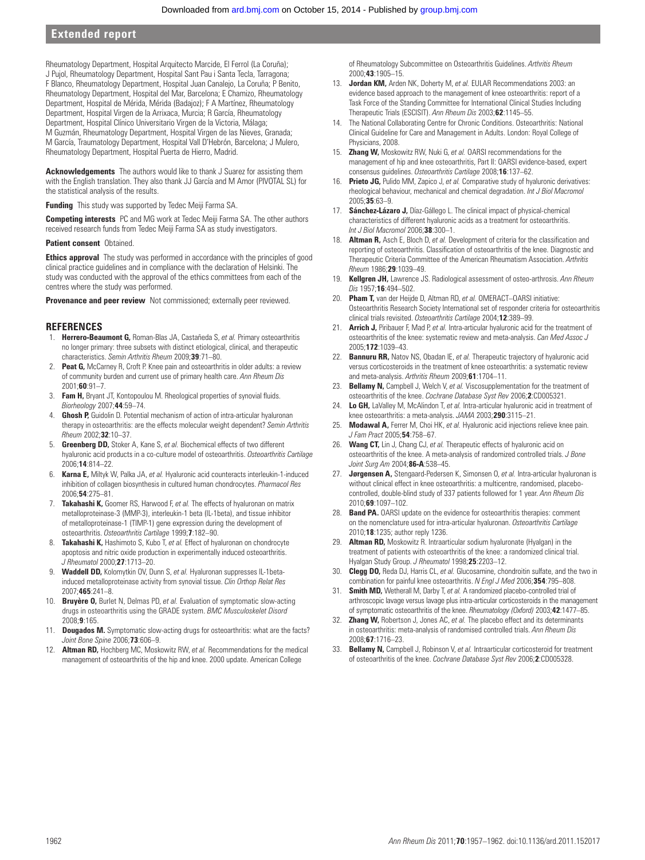### **Extended report**

Rheumatology Department, Hospital Arquitecto Marcide, El Ferrol (La Coruña); J Pujol, Rheumatology Department, Hospital Sant Pau i Santa Tecla, Tarragona; F Blanco, Rheumatology Department, Hospital Juan Canalejo, La Coruña; P Benito, Rheumatology Department, Hospital del Mar, Barcelona; E Chamizo, Rheumatology Department, Hospital de Mérida, Mérida (Badajoz); F A Martínez, Rheumatology Department, Hospital Virgen de la Arrixaca, Murcia; R García, Rheumatology Department, Hospital Clínico Universitario Virgen de la Victoria, Málaga; M Guzmán, Rheumatology Department, Hospital Virgen de las Nieves, Granada; M García, Traumatology Department, Hospital Vall D'Hebrón, Barcelona; J Mulero, Rheumatology Department, Hospital Puerta de Hierro, Madrid.

 **Acknowledgements** The authors would like to thank J Suarez for assisting them with the English translation. They also thank JJ García and M Amor (PIVOTAL SL) for the statistical analysis of the results.

 **Funding** This study was supported by Tedec Meiji Farma SA.

 **Competing interests** PC and MG work at Tedec Meiji Farma SA. The other authors received research funds from Tedec Meiji Farma SA as study investigators.

#### **Patient consent** Obtained.

**Ethics approval** The study was performed in accordance with the principles of good clinical practice guidelines and in compliance with the declaration of Helsinki. The study was conducted with the approval of the ethics committees from each of the centres where the study was performed.

**Provenance and peer review** Not commissioned; externally peer reviewed.

#### **REFERENCES**

- 1. **Herrero-Beaumont G,** Roman-Blas JA, Castañeda S, *et al.* Primary osteoarthritis no longer primary: three subsets with distinct etiological, clinical, and therapeutic characteristics. *Semin Arthritis Rheum* 2009 ; **39** : 71 – 80 .
- 2. **Peat G,** McCarney R, Croft P. Knee pain and osteoarthritis in older adults: a review of community burden and current use of primary health care. *Ann Rheum Dis* 2001 ; **60** : 91 – 7 .
- 3. **Fam H,** Bryant JT, Kontopoulou M. Rheological properties of synovial fluids. *Biorheology* 2007 ; **44** : 59 – 74 .
- **Ghosh P,** Guidolin D. Potential mechanism of action of intra-articular hyaluronan therapy in osteoarthritis: are the effects molecular weight dependent? *Semin Arthritis Rheum* 2002 ; **32** : 10 – 37 .
- 5. **Greenberg DD,** Stoker A, Kane S, *et al.* Biochemical effects of two different hyaluronic acid products in a co-culture model of osteoarthritis. *Osteoarthritis Cartilage* 2006 ; **14** : 814 – 22 .
- 6. **Karna E,** Miltyk W, Palka JA, *et al.* Hyaluronic acid counteracts interleukin-1-induced inhibition of collagen biosynthesis in cultured human chondrocytes. *Pharmacol Res* 2006 ; **54** : 275 – 81 .
- 7. **Takahashi K,** Goomer RS, Harwood F, *et al.* The effects of hyaluronan on matrix metalloproteinase-3 (MMP-3), interleukin-1 beta (IL-1beta), and tissue inhibitor of metalloproteinase-1 (TIMP-1) gene expression during the development of osteoarthritis. *Osteoarthritis Cartilage* 1999 ; **7** : 182 – 90 .
- 8. **Takahashi K,** Hashimoto S, Kubo T, *et al.* Effect of hyaluronan on chondrocyte apoptosis and nitric oxide production in experimentally induced osteoarthritis. *J Rheumatol* 2000 ; **27** : 1713 – 20 .
- 9. **Waddell DD,** Kolomytkin OV, Dunn S, *et al.* Hyaluronan suppresses IL-1betainduced metalloproteinase activity from synovial tissue. *Clin Orthop Relat Res* 2007 ; **465** : 241 – 8 .
- 10. **Bruyère O,** Burlet N, Delmas PD, *et al.* Evaluation of symptomatic slow-acting drugs in osteoarthritis using the GRADE system. *BMC Musculoskelet Disord* 2008 ; **9** : 165 .
- 11. **Dougados M.** Symptomatic slow-acting drugs for osteoarthritis: what are the facts? *Joint Bone Spine* 2006 ; **73** : 606 – 9 .
- 12. **Altman RD, Hochberg MC, Moskowitz RW, et al. Recommendations for the medical** management of osteoarthritis of the hip and knee. 2000 update. American College

of Rheumatology Subcommittee on Osteoarthritis Guidelines. *Arthritis Rheum* 2000; **43** :1905–15.

- 13. **Jordan KM,** Arden NK, Doherty M, *et al.* EULAR Recommendations 2003: an evidence based approach to the management of knee osteoarthritis: report of a Task Force of the Standing Committee for International Clinical Studies Including Therapeutic Trials (ESCISIT). Ann Rheum Dis 2003;62:1145-55.
- 14. The National Collaborating Centre for Chronic Conditions . Osteoarthritis: National Clinical Guideline for Care and Management in Adults. London: Royal College of Physicians, 2008.
- 15. **Zhang W,** Moskowitz RW, Nuki G, *et al.* OARSI recommendations for the management of hip and knee osteoarthritis, Part II: OARSI evidence-based, expert consensus guidelines. *Osteoarthritis Cartilage* 2008 ; **16** : 137 – 62 .
- 16. **Prieto JG,** Pulido MM, Zapico J, *et al.* Comparative study of hyaluronic derivatives: rheological behaviour, mechanical and chemical degradation. *Int J Biol Macromol* 2005 ; **35** : 63 – 9 .
- 17. **Sánchez-Lázaro J,** Díaz-Gállego L. The clinical impact of physical-chemical characteristics of different hyaluronic acids as a treatment for osteoarthritis. *Int J Biol Macromol* 2006 ; **38** : 300 – 1 .
- 18. **Altman R,** Asch E, Bloch D, *et al.* Development of criteria for the classification and reporting of osteoarthritis. Classification of osteoarthritis of the knee. Diagnostic and Therapeutic Criteria Committee of the American Rheumatism Association. *Arthritis Rheum* 1986 ; **29** : 1039 – 49 .
- 19. **Kellgren JH,** Lawrence JS. Radiological assessment of osteo-arthrosis. *Ann Rheum Dis* 1957 ; **16** : 494 – 502 .
- 20. **Pham T,** van der Heijde D, Altman RD, *et al.* OMERACT–OARSI initiative: Osteoarthritis Research Society International set of responder criteria for osteoarthritis clinical trials revisited. Osteoarthritis Cartilage 2004;12:389-99.
- 21. **Arrich J,** Piribauer F, Mad P, *et al.* Intra-articular hyaluronic acid for the treatment of osteoarthritis of the knee: systematic review and meta-analysis. *Can Med Assoc J* 2005 ; **172** : 1039 – 43 .
- 22. **Bannuru RR,** Natov NS, Obadan IE, *et al.* Therapeutic trajectory of hyaluronic acid versus corticosteroids in the treatment of knee osteoarthritis: a systematic review and meta-analysis. *Arthritis Rheum* 2009 ; **61** : 1704 – 11 .
- 23. **Bellamy N,** Campbell J, Welch V, *et al.* Viscosupplementation for the treatment of osteoarthritis of the knee. *Cochrane Database Syst Rev* 2006;2:CD005321.
- 24. **Lo GH,** LaValley M, McAlindon T, *et al.* Intra-articular hyaluronic acid in treatment of knee osteoarthritis: a meta-analysis. JAMA 2003;290:3115-21.
- 25. **Modawal A,** Ferrer M, Choi HK, *et al.* Hyaluronic acid injections relieve knee pain. *J Fam Pract* 2005 ; **54** : 758 – 67 .
- 26. **Wang CT,** Lin J, Chang CJ, *et al.* Therapeutic effects of hyaluronic acid on osteoarthritis of the knee. A meta-analysis of randomized controlled trials. *J Bone Joint Surg Am* 2004 ; **86-A** : 538 – 45 .
- 27. **Jørgensen A,** Stengaard-Pedersen K, Simonsen O, *et al.* Intra-articular hyaluronan is without clinical effect in knee osteoarthritis: a multicentre, randomised, placebocontrolled, double-blind study of 337 patients followed for 1 year. *Ann Rheum Dis* 2010 ; **69** : 1097 – 102 .
- **Band PA.** OARSI update on the evidence for osteoarthritis therapies: comment on the nomenclature used for intra-articular hyaluronan. *Osteoarthritis Cartilage* 2010 ; **18** : 1235 ; author reply 1236.
- 29. **Altman RD,** Moskowitz R. Intraarticular sodium hyaluronate (Hyalgan) in the treatment of patients with osteoarthritis of the knee: a randomized clinical trial. Hyalgan Study Group. *J Rheumatol* 1998; 25:2203-12.
- 30. **Clegg DO,** Reda DJ, Harris CL, *et al.* Glucosamine, chondroitin sulfate, and the two in combination for painful knee osteoarthritis. *N Engl J Med* 2006;354:795-808.
- 31. **Smith MD,** Wetherall M, Darby T, *et al.* A randomized placebo-controlled trial of arthroscopic lavage versus lavage plus intra-articular corticosteroids in the management of symptomatic osteoarthritis of the knee. *Rheumatology (Oxford)* 2003 ; **42** : 1477 – 85 .
- 32. **Zhang W,** Robertson J, Jones AC, *et al.* The placebo effect and its determinants in osteoarthritis: meta-analysis of randomised controlled trials. *Ann Rheum Dis* 2008 ; **67** : 1716 – 23 .
- 33. **Bellamy N,** Campbell J, Robinson V, *et al.* Intraarticular corticosteroid for treatment of osteoarthritis of the knee. *Cochrane Database Syst Rev* 2006;2:CD005328.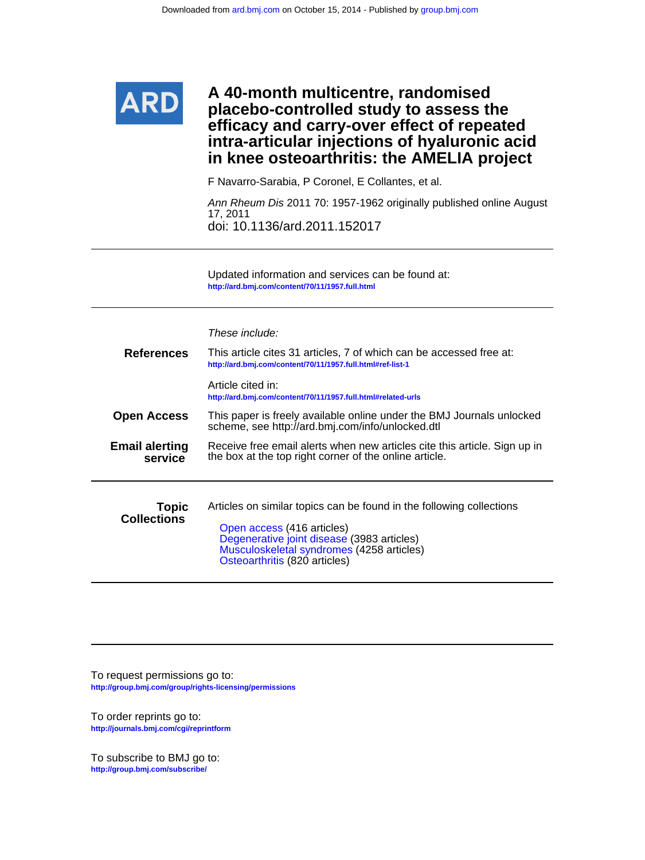## **in knee osteoarthritis: the AMELIA project intra-articular injections of hyaluronic acid efficacy and carry-over effect of repeated placebo-controlled study to assess the A 40-month multicentre, randomised**

F Navarro-Sarabia, P Coronel, E Collantes, et al.

doi: 10.1136/ard.2011.152017 17, 2011 Ann Rheum Dis 2011 70: 1957-1962 originally published online August

**<http://ard.bmj.com/content/70/11/1957.full.html>** Updated information and services can be found at:

These include:

| <b>References</b>                  | This article cites 31 articles, 7 of which can be accessed free at:<br>http://ard.bmj.com/content/70/11/1957.full.html#ref-list-1                                                                                              |
|------------------------------------|--------------------------------------------------------------------------------------------------------------------------------------------------------------------------------------------------------------------------------|
|                                    | Article cited in:<br>http://ard.bmj.com/content/70/11/1957.full.html#related-urls                                                                                                                                              |
| <b>Open Access</b>                 | This paper is freely available online under the BMJ Journals unlocked<br>scheme, see http://ard.bmj.com/info/unlocked.dtl                                                                                                      |
| <b>Email alerting</b><br>service   | Receive free email alerts when new articles cite this article. Sign up in<br>the box at the top right corner of the online article.                                                                                            |
| <b>Topic</b><br><b>Collections</b> | Articles on similar topics can be found in the following collections<br>Open access (416 articles)<br>Degenerative joint disease (3983 articles)<br>Musculoskeletal syndromes (4258 articles)<br>Osteoarthritis (820 articles) |

**<http://group.bmj.com/group/rights-licensing/permissions>** To request permissions go to:

**<http://journals.bmj.com/cgi/reprintform>** To order reprints go to:

**<http://group.bmj.com/subscribe/>** To subscribe to BMJ go to: